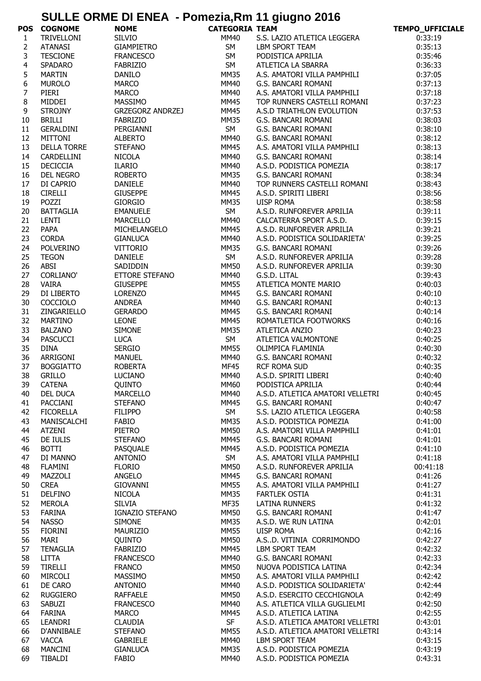## **SULLE ORME DI ENEA - Pomezia,Rm 11 giugno 2016**

|                  | <b>POS COGNOME</b> | <b>NOME</b>             | <b>CATEGORIA TEAM</b> |                                                                                                                                  | TEMPO_UFFICIALE |
|------------------|--------------------|-------------------------|-----------------------|----------------------------------------------------------------------------------------------------------------------------------|-----------------|
| $\mathbf{1}$     | TRIVELLONI         | SILVIO                  | MM40                  | S.S. LAZIO ATLETICA LEGGERA                                                                                                      | 0:33:19         |
| $\overline{2}$   | <b>ATANASI</b>     | GIAMPIETRO              | SM                    | LBM SPORT TEAM<br>PODISTICA APRILIA                                                                                              | 0:35:13         |
| 3                | <b>TESCIONE</b>    | <b>FRANCESCO</b>        | <b>SM</b>             |                                                                                                                                  | 0:35:46         |
| 4                | SPADARO            | FABRIZIO                | <b>SM</b>             | ATLETICA LA SBARRA                                                                                                               | 0:36:33         |
| 5                | MARTIN             | <b>DANILO</b>           | <b>MM35</b>           | A.S. AMATORI VILLA PAMPHILI                                                                                                      | 0:37:05         |
| $\boldsymbol{6}$ | <b>MUROLO</b>      | <b>MARCO</b>            | <b>MM40</b>           | G.S. BANCARI ROMANI                                                                                                              | 0:37:13         |
| $\overline{7}$   | PIERI              | <b>MARCO</b>            | <b>MM40</b>           | A.S. AMATORI VILLA PAMPHILI                                                                                                      | 0:37:18         |
| 8                | MIDDEI             | MASSIMO                 | <b>MM45</b>           | TOP RUNNERS CASTELLI ROMANI                                                                                                      | 0:37:23         |
| 9                | <b>STROJNY</b>     | <b>GRZEGORZ ANDRZEJ</b> | <b>MM45</b>           | A.S.D TRIATHLON EVOLUTION                                                                                                        | 0:37:53         |
| 10               | <b>BRILLI</b>      | <b>FABRIZIO</b>         | MM35                  | G.S. BANCARI ROMANI                                                                                                              | 0:38:03         |
| 11               | GERALDINI          | PERGIANNI               | SM                    | G.S. BANCARI ROMANI                                                                                                              | 0:38:10         |
| 12               | <b>MITTONI</b>     | <b>ALBERTO</b>          | <b>MM40</b>           | G.S. BANCARI ROMANI                                                                                                              | 0:38:12         |
| 13               | <b>DELLA TORRE</b> | <b>STEFANO</b>          | <b>MM45</b>           | A.S. AMATORI VILLA PAMPHILI                                                                                                      | 0:38:13         |
| 14               | CARDELLINI         | NICOLA                  | <b>MM40</b>           | G.S. BANCARI ROMANI                                                                                                              | 0:38:14         |
| 15               | <b>DECICCIA</b>    | <b>ILARIO</b>           | <b>MM40</b>           | A.S.D. PODISTICA POMEZIA                                                                                                         | 0:38:17         |
| 16               | DEL NEGRO          | ROBERTO                 | <b>MM35</b>           | G.S. BANCARI ROMANI                                                                                                              | 0:38:34         |
|                  |                    |                         |                       |                                                                                                                                  |                 |
| 17               | DI CAPRIO          | DANIELE                 | MM40                  | TOP RUNNERS CASTELLI ROMANI                                                                                                      | 0:38:43         |
| 18               | <b>CIRELLI</b>     | <b>GIUSEPPE</b>         | <b>MM45</b>           | A.S.D. SPIRITI LIBERI                                                                                                            | 0:38:56         |
| 19               | POZZI              | GIORGIO                 | <b>MM35</b>           | UISP ROMA                                                                                                                        | 0:38:58         |
| 20               | <b>BATTAGLIA</b>   | <b>EMANUELE</b>         | SM                    | A.S.D. RUNFOREVER APRILIA                                                                                                        | 0:39:11         |
| 21               | LENTI              | MARCELLO                | MM40                  | CALCATERRA SPORT A.S.D.                                                                                                          | 0:39:15         |
| 22               | PAPA               | MICHELANGELO            | <b>MM45</b>           | A.S.D. RUNFOREVER APRILIA                                                                                                        | 0:39:21         |
| 23               | <b>CORDA</b>       | <b>GIANLUCA</b>         | MM40                  | A.S.D. PODISTICA SOLIDARIETA'                                                                                                    | 0:39:25         |
| 24               | POLVERINO          | VITTORIO                | MM35                  | G.S. BANCARI ROMANI                                                                                                              | 0:39:26         |
| 25               | <b>TEGON</b>       | DANIELE                 | <b>SM</b>             | A.S.D. RUNFOREVER APRILIA                                                                                                        | 0:39:28         |
| 26               | ABSI               | SADIDDIN                | <b>MM50</b>           | A.S.D. RUNFOREVER APRILIA                                                                                                        | 0:39:30         |
| 27               | <b>CORLIANO'</b>   | ETTORE STEFANO          | MM40                  | G.S.D. LITAL                                                                                                                     | 0:39:43         |
| 28               | <b>VAIRA</b>       | <b>GIUSEPPE</b>         | MM55                  | ATLETICA MONTE MARIO                                                                                                             | 0:40:03         |
| 29               | DI LIBERTO         | LORENZO                 | MM45                  |                                                                                                                                  | 0:40:10         |
| 30               | <b>COCCIOLO</b>    | ANDREA                  | <b>MM40</b>           | G.S. BANCARI ROMANI<br>G.S. BANCARI ROMANI<br>G.S. BANCARI ROMANI<br>ROMATLETICA FOOTWORKS<br>ATLETICA ANZIO                     | 0:40:13         |
| 31               | ZINGARIELLO        | GERARDO                 | <b>MM45</b>           |                                                                                                                                  | 0:40:14         |
| 32               | <b>MARTINO</b>     | LEONE                   | <b>MM45</b>           |                                                                                                                                  | 0:40:16         |
| 33               | <b>BALZANO</b>     | <b>SIMONE</b>           | MM35                  | ATLETICA ANZIO                                                                                                                   | 0:40:23         |
| 34               | <b>PASCUCCI</b>    | <b>LUCA</b>             | SM                    | ATLETICA VALMONTONE                                                                                                              | 0:40:25         |
| 35               | <b>DINA</b>        | <b>SERGIO</b>           | MM55                  | OLIMPICA FLAMINIA<br>G.S. BANCARI ROMANI<br>RCF ROMA SUD<br>A.S.D. SPIRITI LIBERI<br>PODISTICA APRILIA<br>A.S.D. ATLETICA AUSTRO | 0:40:30         |
| 36               | ARRIGONI           | MANUEL                  | MM40                  |                                                                                                                                  | 0:40:32         |
| 37               | <b>BOGGIATTO</b>   | <b>ROBERTA</b>          | <b>MF45</b>           |                                                                                                                                  | 0:40:35         |
| 38               | <b>GRILLO</b>      | <b>LUCIANO</b>          | <b>MM40</b>           |                                                                                                                                  | 0:40:40         |
| 39               | <b>CATENA</b>      | <b>OUINTO</b>           | <b>MM60</b>           |                                                                                                                                  | 0:40:44         |
| 40               | <b>DEL DUCA</b>    | <b>MARCELLO</b>         | MM40                  | A.S.D. ATLETICA AMATORI VELLETRI                                                                                                 | 0:40:45         |
| 41               | PACCIANI           | <b>STEFANO</b>          | <b>MM45</b>           | G.S. BANCARI ROMANI                                                                                                              | 0:40:47         |
| 42               | <b>FICORELLA</b>   | <b>FILIPPO</b>          | SM                    | S.S. LAZIO ATLETICA LEGGERA                                                                                                      | 0:40:58         |
| 43               | MANISCALCHI        | FABIO                   | <b>MM35</b>           | A.S.D. PODISTICA POMEZIA                                                                                                         | 0:41:00         |
| 44               | ATZENI             | <b>PIETRO</b>           | <b>MM50</b>           | A.S. AMATORI VILLA PAMPHILI                                                                                                      | 0:41:01         |
| 45               | DE IULIS           | <b>STEFANO</b>          | <b>MM45</b>           | G.S. BANCARI ROMANI                                                                                                              | 0:41:01         |
| 46               | <b>BOTTI</b>       | PASQUALE                | <b>MM45</b>           | A.S.D. PODISTICA POMEZIA                                                                                                         | 0:41:10         |
| 47               | DI MANNO           | <b>ANTONIO</b>          | SM                    | A.S. AMATORI VILLA PAMPHILI                                                                                                      | 0:41:18         |
| 48               | <b>FLAMINI</b>     | <b>FLORIO</b>           | <b>MM50</b>           | A.S.D. RUNFOREVER APRILIA                                                                                                        | 00:41:18        |
| 49               | MAZZOLI            | ANGELO                  | <b>MM45</b>           | G.S. BANCARI ROMANI                                                                                                              | 0:41:26         |
| 50               | <b>CREA</b>        | GIOVANNI                | <b>MM55</b>           | A.S. AMATORI VILLA PAMPHILI                                                                                                      | 0:41:27         |
| 51               | <b>DELFINO</b>     | <b>NICOLA</b>           | <b>MM35</b>           | <b>FARTLEK OSTIA</b>                                                                                                             | 0:41:31         |
| 52               | MEROLA             | <b>SILVIA</b>           | MF35                  | <b>LATINA RUNNERS</b>                                                                                                            | 0:41:32         |
| 53               | <b>FARINA</b>      | IGNAZIO STEFANO         | <b>MM50</b>           | G.S. BANCARI ROMANI                                                                                                              | 0:41:47         |
| 54               | <b>NASSO</b>       | <b>SIMONE</b>           | <b>MM35</b>           | A.S.D. WE RUN LATINA                                                                                                             | 0:42:01         |
| 55               | <b>FIORINI</b>     | MAURIZIO                | <b>MM55</b>           | <b>UISP ROMA</b>                                                                                                                 | 0:42:16         |
| 56               | MARI               | QUINTO                  | <b>MM50</b>           | A.SD. VITINIA CORRIMONDO                                                                                                         | 0:42:27         |
| 57               | <b>TENAGLIA</b>    | <b>FABRIZIO</b>         | <b>MM45</b>           | LBM SPORT TEAM                                                                                                                   | 0:42:32         |
| 58               | <b>LITTA</b>       | <b>FRANCESCO</b>        | <b>MM40</b>           | G.S. BANCARI ROMANI                                                                                                              | 0:42:33         |
| 59               | <b>TIRELLI</b>     | <b>FRANCO</b>           | <b>MM50</b>           | NUOVA PODISTICA LATINA                                                                                                           | 0:42:34         |
|                  | MIRCOLI            |                         | <b>MM50</b>           | A.S. AMATORI VILLA PAMPHILI                                                                                                      |                 |
| 60               |                    | <b>MASSIMO</b>          |                       |                                                                                                                                  | 0:42:42         |
| 61               | DE CARO            | <b>ANTONIO</b>          | MM40                  | A.S.D. PODISTICA SOLIDARIETA'                                                                                                    | 0:42:44         |
| 62               | <b>RUGGIERO</b>    | <b>RAFFAELE</b>         | <b>MM50</b>           | A.S.D. ESERCITO CECCHIGNOLA                                                                                                      | 0:42:49         |
| 63               | SABUZI             | <b>FRANCESCO</b>        | <b>MM40</b>           | A.S. ATLETICA VILLA GUGLIELMI                                                                                                    | 0:42:50         |
| 64               | <b>FARINA</b>      | <b>MARCO</b>            | <b>MM45</b>           | A.S.D. ATLETICA LATINA                                                                                                           | 0:42:55         |
| 65               | LEANDRI            | <b>CLAUDIA</b>          | <b>SF</b>             | A.S.D. ATLETICA AMATORI VELLETRI                                                                                                 | 0:43:01         |
| 66               | D'ANNIBALE         | <b>STEFANO</b>          | <b>MM55</b>           | A.S.D. ATLETICA AMATORI VELLETRI                                                                                                 | 0:43:14         |
| 67               | <b>VACCA</b>       | <b>GABRIELE</b>         | MM40                  | LBM SPORT TEAM                                                                                                                   | 0:43:15         |
| 68               | <b>MANCINI</b>     | <b>GIANLUCA</b>         | MM35                  | A.S.D. PODISTICA POMEZIA                                                                                                         | 0:43:19         |
| 69               | <b>TIBALDI</b>     | <b>FABIO</b>            | <b>MM40</b>           | A.S.D. PODISTICA POMEZIA                                                                                                         | 0:43:31         |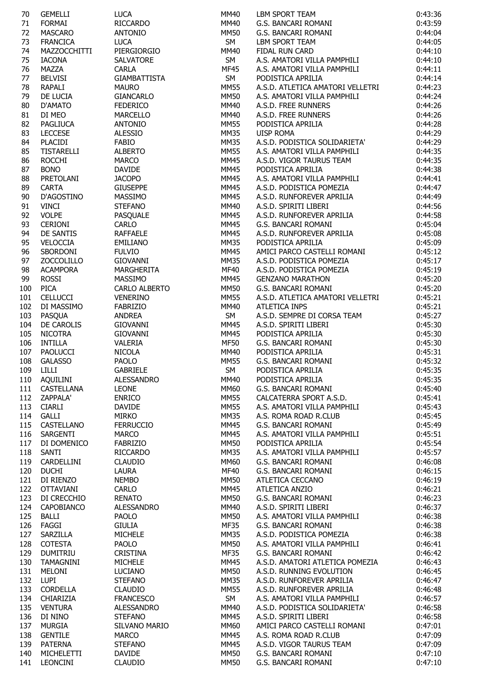| 70         | <b>GEMELLI</b>    | <b>LUCA</b>         | MM40        | <b>LBM SPORT TEAM</b>            | 0:43:36 |
|------------|-------------------|---------------------|-------------|----------------------------------|---------|
| 71         | <b>FORMAI</b>     | <b>RICCARDO</b>     | <b>MM40</b> | G.S. BANCARI ROMANI              | 0:43:59 |
|            |                   |                     |             |                                  |         |
| 72         | <b>MASCARO</b>    | <b>ANTONIO</b>      | <b>MM50</b> | G.S. BANCARI ROMANI              | 0:44:04 |
| 73         | <b>FRANCICA</b>   | <b>LUCA</b>         | <b>SM</b>   | LBM SPORT TEAM                   | 0:44:05 |
|            |                   |                     |             |                                  |         |
| 74         | MAZZOCCHITTI      | PIERGIORGIO         | MM40        | FIDAL RUN CARD                   | 0:44:10 |
| 75         | <b>IACONA</b>     | SALVATORE           | <b>SM</b>   | A.S. AMATORI VILLA PAMPHILI      | 0:44:10 |
| 76         | MAZZA             | <b>CARLA</b>        | <b>MF45</b> | A.S. AMATORI VILLA PAMPHILI      | 0:44:11 |
|            |                   |                     |             |                                  |         |
| 77         | <b>BELVISI</b>    | <b>GIAMBATTISTA</b> | <b>SM</b>   | PODISTICA APRILIA                | 0:44:14 |
| 78         | RAPALI            | <b>MAURO</b>        | <b>MM55</b> | A.S.D. ATLETICA AMATORI VELLETRI | 0:44:23 |
| 79         | DE LUCIA          | <b>GIANCARLO</b>    | <b>MM50</b> | A.S. AMATORI VILLA PAMPHILI      | 0:44:24 |
|            |                   |                     |             |                                  |         |
| 80         | D'AMATO           | <b>FEDERICO</b>     | MM40        | A.S.D. FREE RUNNERS              | 0:44:26 |
| 81         | DI MEO            | <b>MARCELLO</b>     | MM40        | A.S.D. FREE RUNNERS              | 0:44:26 |
| 82         | <b>PAGLIUCA</b>   | <b>ANTONIO</b>      | <b>MM55</b> | PODISTICA APRILIA                | 0:44:28 |
|            |                   |                     |             |                                  |         |
| 83         | <b>LECCESE</b>    | <b>ALESSIO</b>      | <b>MM35</b> | <b>UISP ROMA</b>                 | 0:44:29 |
| 84         | <b>PLACIDI</b>    | <b>FABIO</b>        | <b>MM35</b> | A.S.D. PODISTICA SOLIDARIETA'    | 0:44:29 |
|            |                   |                     | <b>MM55</b> | A.S. AMATORI VILLA PAMPHILI      |         |
| 85         | <b>TISTARELLI</b> | <b>ALBERTO</b>      |             |                                  | 0:44:35 |
| 86         | <b>ROCCHI</b>     | <b>MARCO</b>        | <b>MM45</b> | A.S.D. VIGOR TAURUS TEAM         | 0:44:35 |
| 87         | <b>BONO</b>       | <b>DAVIDE</b>       | <b>MM45</b> | PODISTICA APRILIA                | 0:44:38 |
|            |                   |                     |             |                                  |         |
| 88         | PRETOLANI         | <b>JACOPO</b>       | <b>MM45</b> | A.S. AMATORI VILLA PAMPHILI      | 0:44:41 |
| 89         | <b>CARTA</b>      | <b>GIUSEPPE</b>     | <b>MM45</b> | A.S.D. PODISTICA POMEZIA         | 0:44:47 |
| 90         | D'AGOSTINO        | MASSIMO             | MM45        | A.S.D. RUNFOREVER APRILIA        | 0:44:49 |
|            |                   |                     |             |                                  |         |
| 91         | <b>VINCI</b>      | <b>STEFANO</b>      | MM40        | A.S.D. SPIRITI LIBERI            | 0:44:56 |
| 92         | <b>VOLPE</b>      | PASQUALE            | <b>MM45</b> | A.S.D. RUNFOREVER APRILIA        | 0:44:58 |
| 93         | <b>CERIONI</b>    | CARLO               | <b>MM45</b> | G.S. BANCARI ROMANI              | 0:45:04 |
|            |                   |                     |             |                                  |         |
| 94         | DE SANTIS         | <b>RAFFAELE</b>     | <b>MM45</b> | A.S.D. RUNFOREVER APRILIA        | 0:45:08 |
| 95         | VELOCCIA          | EMILIANO            | <b>MM35</b> | PODISTICA APRILIA                | 0:45:09 |
| 96         | SBORDONI          | <b>FULVIO</b>       | <b>MM45</b> | AMICI PARCO CASTELLI ROMANI      | 0:45:12 |
|            |                   |                     |             |                                  |         |
| 97         | <b>ZOCCOLILLO</b> | <b>GIOVANNI</b>     | <b>MM35</b> | A.S.D. PODISTICA POMEZIA         | 0:45:17 |
| 98         | <b>ACAMPORA</b>   | MARGHERITA          | MF40        | A.S.D. PODISTICA POMEZIA         | 0:45:19 |
|            |                   |                     |             |                                  |         |
| 99         | <b>ROSSI</b>      | MASSIMO             | <b>MM45</b> | <b>GENZANO MARATHON</b>          | 0:45:20 |
| 100        | <b>PICA</b>       | CARLO ALBERTO       | MM50        | G.S. BANCARI ROMANI              | 0:45:20 |
| 101        | <b>CELLUCCI</b>   | <b>VENERINO</b>     | <b>MM55</b> | A.S.D. ATLETICA AMATORI VELLETRI | 0:45:21 |
|            |                   |                     |             |                                  |         |
| 102        | DI MASSIMO        | FABRIZIO            | <b>MM40</b> | <b>ATLETICA INPS</b>             | 0:45:21 |
| 103        | PASQUA            | <b>ANDREA</b>       | <b>SM</b>   | A.S.D. SEMPRE DI CORSA TEAM      | 0:45:27 |
| 104        | DE CAROLIS        | <b>GIOVANNI</b>     | <b>MM45</b> | A.S.D. SPIRITI LIBERI            | 0:45:30 |
|            |                   |                     |             |                                  |         |
| 105        | <b>NICOTRA</b>    | GIOVANNI            | <b>MM45</b> | PODISTICA APRILIA                | 0:45:30 |
| 106        | <b>INTILLA</b>    | VALERIA             | <b>MF50</b> | G.S. BANCARI ROMANI              | 0:45:30 |
| 107        | <b>PAOLUCCI</b>   | <b>NICOLA</b>       | MM40        | PODISTICA APRILIA                | 0:45:31 |
|            |                   |                     |             |                                  |         |
| 108        | <b>GALASSO</b>    | <b>PAOLO</b>        | <b>MM55</b> | G.S. BANCARI ROMANI              | 0:45:32 |
| 109        | <b>LILLI</b>      | GABRIELE            | <b>SM</b>   | PODISTICA APRILIA                | 0:45:35 |
| 110        | AQUILINI          | <b>ALESSANDRO</b>   | <b>MM40</b> | PODISTICA APRILIA                | 0:45:35 |
|            |                   |                     |             |                                  |         |
| 111        | <b>CASTELLANA</b> | <b>LEONE</b>        | MM60        | G.S. BANCARI ROMANI              | 0:45:40 |
| 112        | ZAPPALA'          | <b>ENRICO</b>       | <b>MM55</b> | CALCATERRA SPORT A.S.D.          | 0:45:41 |
|            |                   |                     |             | A.S. AMATORI VILLA PAMPHILI      |         |
| 113        | <b>CIARLI</b>     | <b>DAVIDE</b>       | <b>MM55</b> |                                  | 0:45:43 |
| 114        | <b>GALLI</b>      | <b>MIRKO</b>        | <b>MM35</b> | A.S. ROMA ROAD R.CLUB            | 0:45:45 |
| 115        | CASTELLANO        | <b>FERRUCCIO</b>    | <b>MM45</b> | G.S. BANCARI ROMANI              | 0:45:49 |
|            | <b>SARGENTI</b>   |                     |             |                                  |         |
| 116        |                   | <b>MARCO</b>        | MM45        | A.S. AMATORI VILLA PAMPHILI      | 0:45:51 |
| 117        | DI DOMENICO       | <b>FABRIZIO</b>     | <b>MM50</b> | PODISTICA APRILIA                | 0:45:54 |
| 118        | SANTI             | <b>RICCARDO</b>     | <b>MM35</b> | A.S. AMATORI VILLA PAMPHILI      | 0:45:57 |
|            |                   |                     |             |                                  |         |
| 119        | CARDELLINI        | <b>CLAUDIO</b>      | <b>MM60</b> | G.S. BANCARI ROMANI              | 0:46:08 |
| 120        | <b>DUCHI</b>      | <b>LAURA</b>        | <b>MF40</b> | G.S. BANCARI ROMANI              | 0:46:15 |
| 121        | DI RIENZO         | <b>NEMBO</b>        | <b>MM50</b> | ATLETICA CECCANO                 | 0:46:19 |
|            |                   |                     |             |                                  |         |
| 122        | <b>OTTAVIANI</b>  | CARLO               | <b>MM45</b> | ATLETICA ANZIO                   | 0:46:21 |
| 123        | DI CRECCHIO       | <b>RENATO</b>       | MM50        | G.S. BANCARI ROMANI              | 0:46:23 |
| 124        | CAPOBIANCO        | ALESSANDRO          | MM40        | A.S.D. SPIRITI LIBERI            | 0:46:37 |
|            |                   |                     |             |                                  |         |
| 125        | <b>BALLI</b>      | <b>PAOLO</b>        | MM50        | A.S. AMATORI VILLA PAMPHILI      | 0:46:38 |
| 126        | FAGGI             | <b>GIULIA</b>       | <b>MF35</b> | G.S. BANCARI ROMANI              | 0:46:38 |
| 127        | SARZILLA          | <b>MICHELE</b>      | <b>MM35</b> | A.S.D. PODISTICA POMEZIA         | 0:46:38 |
|            |                   |                     |             |                                  |         |
| 128        | <b>COTESTA</b>    | <b>PAOLO</b>        | <b>MM50</b> | A.S. AMATORI VILLA PAMPHILI      | 0:46:41 |
| 129        | <b>DUMITRIU</b>   | CRISTINA            | <b>MF35</b> | G.S. BANCARI ROMANI              | 0:46:42 |
| 130        | <b>TAMAGNINI</b>  | <b>MICHELE</b>      | <b>MM45</b> | A.S.D. AMATORI ATLETICA POMEZIA  | 0:46:43 |
|            |                   |                     |             |                                  |         |
| 131        | <b>MELONI</b>     | <b>LUCIANO</b>      | <b>MM50</b> | A.S.D. RUNNING EVOLUTION         | 0:46:45 |
| 132        | <b>LUPI</b>       | <b>STEFANO</b>      | MM35        | A.S.D. RUNFOREVER APRILIA        | 0:46:47 |
| 133        | CORDELLA          | <b>CLAUDIO</b>      | <b>MM55</b> | A.S.D. RUNFOREVER APRILIA        | 0:46:48 |
|            |                   |                     |             |                                  |         |
| 134        | CHIARIZIA         | <b>FRANCESCO</b>    | SM          | A.S. AMATORI VILLA PAMPHILI      | 0:46:57 |
|            |                   | ALESSANDRO          | <b>MM40</b> | A.S.D. PODISTICA SOLIDARIETA'    | 0:46:58 |
|            |                   |                     |             |                                  |         |
| 135        | <b>VENTURA</b>    |                     |             |                                  |         |
| 136        | DI NINO           | <b>STEFANO</b>      | <b>MM45</b> | A.S.D. SPIRITI LIBERI            | 0:46:58 |
|            | <b>MURGIA</b>     | SILVANO MARIO       | <b>MM60</b> | AMICI PARCO CASTELLI ROMANI      | 0:47:01 |
|            |                   |                     |             |                                  |         |
| 137<br>138 | <b>GENTILE</b>    | <b>MARCO</b>        | <b>MM45</b> | A.S. ROMA ROAD R.CLUB            | 0:47:09 |
| 139        | <b>PATERNA</b>    | <b>STEFANO</b>      | <b>MM45</b> | A.S.D. VIGOR TAURUS TEAM         | 0:47:09 |
| 140        | <b>MICHELETTI</b> | <b>DAVIDE</b>       | <b>MM50</b> | G.S. BANCARI ROMANI              | 0:47:10 |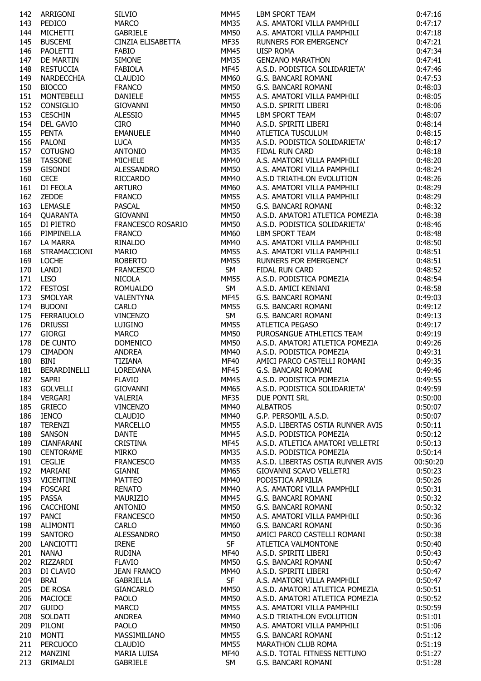| 142 | ARRIGONI          | <b>SILVIO</b>      | MM45        | LBM SPORT TEAM                    | 0:47:16  |
|-----|-------------------|--------------------|-------------|-----------------------------------|----------|
| 143 | PEDICO            | <b>MARCO</b>       | <b>MM35</b> | A.S. AMATORI VILLA PAMPHILI       | 0:47:17  |
| 144 | <b>MICHETTI</b>   | <b>GABRIELE</b>    | <b>MM50</b> | A.S. AMATORI VILLA PAMPHILI       | 0:47:18  |
| 145 | <b>BUSCEMI</b>    | CINZIA ELISABETTA  | <b>MF35</b> | RUNNERS FOR EMERGENCY             | 0:47:21  |
| 146 | PAOLETTI          | <b>FABIO</b>       | <b>MM45</b> | <b>UISP ROMA</b>                  | 0:47:34  |
| 147 | DE MARTIN         | <b>SIMONE</b>      | <b>MM35</b> | <b>GENZANO MARATHON</b>           | 0:47:41  |
| 148 | <b>RESTUCCIA</b>  | <b>FABIOLA</b>     | <b>MF45</b> | A.S.D. PODISTICA SOLIDARIETA'     | 0:47:46  |
| 149 | NARDECCHIA        | <b>CLAUDIO</b>     | <b>MM60</b> | G.S. BANCARI ROMANI               | 0:47:53  |
| 150 | <b>BIOCCO</b>     | <b>FRANCO</b>      | MM50        | G.S. BANCARI ROMANI               | 0:48:03  |
| 151 | <b>MONTEBELLI</b> | DANIELE            | <b>MM55</b> | A.S. AMATORI VILLA PAMPHILI       | 0:48:05  |
| 152 | <b>CONSIGLIO</b>  | GIOVANNI           | <b>MM50</b> | A.S.D. SPIRITI LIBERI             | 0:48:06  |
|     |                   |                    |             |                                   |          |
| 153 | <b>CESCHIN</b>    | <b>ALESSIO</b>     | <b>MM45</b> | <b>LBM SPORT TEAM</b>             | 0:48:07  |
| 154 | <b>DEL GAVIO</b>  | <b>CIRO</b>        | MM40        | A.S.D. SPIRITI LIBERI             | 0:48:14  |
| 155 | <b>PENTA</b>      | <b>EMANUELE</b>    | <b>MM40</b> | ATLETICA TUSCULUM                 | 0:48:15  |
| 156 | PALONI            | <b>LUCA</b>        | <b>MM35</b> | A.S.D. PODISTICA SOLIDARIETA'     | 0:48:17  |
| 157 | <b>COTUGNO</b>    | <b>ANTONIO</b>     | <b>MM35</b> | FIDAL RUN CARD                    | 0:48:18  |
| 158 | <b>TASSONE</b>    | <b>MICHELE</b>     | <b>MM40</b> | A.S. AMATORI VILLA PAMPHILI       | 0:48:20  |
| 159 | <b>GISONDI</b>    | ALESSANDRO         | <b>MM50</b> | A.S. AMATORI VILLA PAMPHILI       | 0:48:24  |
| 160 | <b>CECE</b>       | <b>RICCARDO</b>    | <b>MM40</b> | A.S.D TRIATHLON EVOLUTION         | 0:48:26  |
| 161 | DI FEOLA          | <b>ARTURO</b>      | <b>MM60</b> | A.S. AMATORI VILLA PAMPHILI       | 0:48:29  |
| 162 | ZEDDE             | <b>FRANCO</b>      | <b>MM55</b> | A.S. AMATORI VILLA PAMPHILI       | 0:48:29  |
| 163 | <b>LEMASLE</b>    | <b>PASCAL</b>      | <b>MM50</b> | G.S. BANCARI ROMANI               | 0:48:32  |
| 164 | QUARANTA          | GIOVANNI           | <b>MM50</b> | A.S.D. AMATORI ATLETICA POMEZIA   | 0:48:38  |
| 165 | DI PIETRO         | FRANCESCO ROSARIO  | <b>MM50</b> | A.S.D. PODISTICA SOLIDARIETA'     | 0:48:46  |
| 166 | PIMPINELLA        | <b>FRANCO</b>      | MM60        | <b>LBM SPORT TEAM</b>             | 0:48:48  |
| 167 | LA MARRA          | RINALDO            | MM40        | A.S. AMATORI VILLA PAMPHILI       | 0:48:50  |
| 168 | STRAMACCIONI      | <b>MARIO</b>       | <b>MM55</b> | A.S. AMATORI VILLA PAMPHILI       | 0:48:51  |
| 169 | <b>LOCHE</b>      | <b>ROBERTO</b>     | <b>MM55</b> | RUNNERS FOR EMERGENCY             | 0:48:51  |
| 170 | LANDI             | <b>FRANCESCO</b>   | SM          | FIDAL RUN CARD                    | 0:48:52  |
| 171 | <b>LISO</b>       | <b>NICOLA</b>      | <b>MM55</b> | A.S.D. PODISTICA POMEZIA          | 0:48:54  |
| 172 | <b>FESTOSI</b>    | ROMUALDO           | SM          | A.S.D. AMICI KENIANI              | 0:48:58  |
|     |                   |                    | <b>MF45</b> |                                   |          |
| 173 | SMOLYAR           | <b>VALENTYNA</b>   |             | G.S. BANCARI ROMANI               | 0:49:03  |
| 174 | <b>BUDONI</b>     | <b>CARLO</b>       | <b>MM55</b> | G.S. BANCARI ROMANI               | 0:49:12  |
| 175 | FERRAIUOLO        | <b>VINCENZO</b>    | SM          | G.S. BANCARI ROMANI               | 0:49:13  |
| 176 | <b>DRIUSSI</b>    | LUIGINO            | <b>MM55</b> | ATLETICA PEGASO                   | 0:49:17  |
| 177 | <b>GIORGI</b>     | <b>MARCO</b>       | <b>MM50</b> | PUROSANGUE ATHLETICS TEAM         | 0:49:19  |
| 178 | DE CUNTO          | <b>DOMENICO</b>    | <b>MM50</b> | A.S.D. AMATORI ATLETICA POMEZIA   | 0:49:26  |
| 179 | <b>CIMADON</b>    | <b>ANDREA</b>      | MM40        | A.S.D. PODISTICA POMEZIA          | 0:49:31  |
| 180 | BINI              | <b>TIZIANA</b>     | MF40        | AMICI PARCO CASTELLI ROMANI       | 0:49:35  |
| 181 | BERARDINELLI      | LOREDANA           | <b>MF45</b> | G.S. BANCARI ROMANI               | 0:49:46  |
| 182 | <b>SAPRI</b>      | <b>FLAVIO</b>      | <b>MM45</b> | A.S.D. PODISTICA POMEZIA          | 0:49:55  |
| 183 | <b>GOLVELLI</b>   | <b>GIOVANNI</b>    | <b>MM65</b> | A.S.D. PODISTICA SOLIDARIETA'     | 0:49:59  |
| 184 | <b>VERGARI</b>    | <b>VALERIA</b>     | <b>MF35</b> | DUE PONTI SRL                     | 0:50:00  |
| 185 | <b>GRIECO</b>     | <b>VINCENZO</b>    | <b>MM40</b> | <b>ALBATROS</b>                   | 0:50:07  |
| 186 | <b>IENCO</b>      | <b>CLAUDIO</b>     | MM40        | G.P. PERSOMIL A.S.D.              | 0:50:07  |
| 187 | <b>TERENZI</b>    | <b>MARCELLO</b>    | MM55        | A.S.D. LIBERTAS OSTIA RUNNER AVIS | 0:50:11  |
| 188 | <b>SANSON</b>     | <b>DANTE</b>       | MM45        | A.S.D. PODISTICA POMEZIA          | 0:50:12  |
| 189 | <b>CIANFARANI</b> | <b>CRISTINA</b>    | MF45        | A.S.D. ATLETICA AMATORI VELLETRI  | 0:50:13  |
| 190 | <b>CENTORAME</b>  | <b>MIRKO</b>       | <b>MM35</b> | A.S.D. PODISTICA POMEZIA          | 0:50:14  |
| 191 | <b>CEGLIE</b>     | <b>FRANCESCO</b>   | MM35        | A.S.D. LIBERTAS OSTIA RUNNER AVIS | 00:50:20 |
| 192 | MARIANI           | <b>GIANNI</b>      | MM65        | GIOVANNI SCAVO VELLETRI           | 0:50:23  |
| 193 | <b>VICENTINI</b>  | <b>MATTEO</b>      | MM40        | PODISTICA APRILIA                 | 0:50:26  |
| 194 | <b>FOSCARI</b>    | <b>RENATO</b>      | MM40        | A.S. AMATORI VILLA PAMPHILI       | 0:50:31  |
|     | <b>PASSA</b>      | MAURIZIO           |             | G.S. BANCARI ROMANI               | 0:50:32  |
| 195 |                   |                    | MM45        |                                   |          |
| 196 | <b>CACCHIONI</b>  | <b>ANTONIO</b>     | MM50        | G.S. BANCARI ROMANI               | 0:50:32  |
| 197 | <b>PANCI</b>      | <b>FRANCESCO</b>   | MM50        | A.S. AMATORI VILLA PAMPHILI       | 0:50:36  |
| 198 | <b>ALIMONTI</b>   | <b>CARLO</b>       | <b>MM60</b> | G.S. BANCARI ROMANI               | 0:50:36  |
| 199 | SANTORO           | ALESSANDRO         | <b>MM50</b> | AMICI PARCO CASTELLI ROMANI       | 0:50:38  |
| 200 | LANCIOTTI         | <b>IRENE</b>       | <b>SF</b>   | ATLETICA VALMONTONE               | 0:50:40  |
| 201 | <b>NANAJ</b>      | RUDINA             | <b>MF40</b> | A.S.D. SPIRITI LIBERI             | 0:50:43  |
| 202 | RIZZARDI          | <b>FLAVIO</b>      | <b>MM50</b> | G.S. BANCARI ROMANI               | 0:50:47  |
| 203 | DI CLAVIO         | <b>JEAN FRANCO</b> | MM40        | A.S.D. SPIRITI LIBERI             | 0:50:47  |
| 204 | <b>BRAI</b>       | <b>GABRIELLA</b>   | SF          | A.S. AMATORI VILLA PAMPHILI       | 0:50:47  |
| 205 | DE ROSA           | <b>GIANCARLO</b>   | <b>MM50</b> | A.S.D. AMATORI ATLETICA POMEZIA   | 0:50:51  |
| 206 | MACIOCE           | <b>PAOLO</b>       | <b>MM50</b> | A.S.D. AMATORI ATLETICA POMEZIA   | 0:50:52  |
| 207 | <b>GUIDO</b>      | <b>MARCO</b>       | <b>MM55</b> | A.S. AMATORI VILLA PAMPHILI       | 0:50:59  |
| 208 | SOLDATI           | <b>ANDREA</b>      | <b>MM40</b> | A.S.D TRIATHLON EVOLUTION         | 0:51:01  |
| 209 | PILONI            | <b>PAOLO</b>       | MM50        | A.S. AMATORI VILLA PAMPHILI       | 0:51:06  |
| 210 | <b>MONTI</b>      | MASSIMILIANO       | MM55        | G.S. BANCARI ROMANI               | 0:51:12  |
| 211 | <b>PERCUOCO</b>   | <b>CLAUDIO</b>     | MM55        | MARATHON CLUB ROMA                | 0:51:19  |
| 212 | MANZINI           | MARIA LUISA        | <b>MF40</b> | A.S.D. TOTAL FITNESS NETTUNO      | 0:51:27  |
| 213 | <b>GRIMALDI</b>   | <b>GABRIELE</b>    | SM          | G.S. BANCARI ROMANI               | 0:51:28  |
|     |                   |                    |             |                                   |          |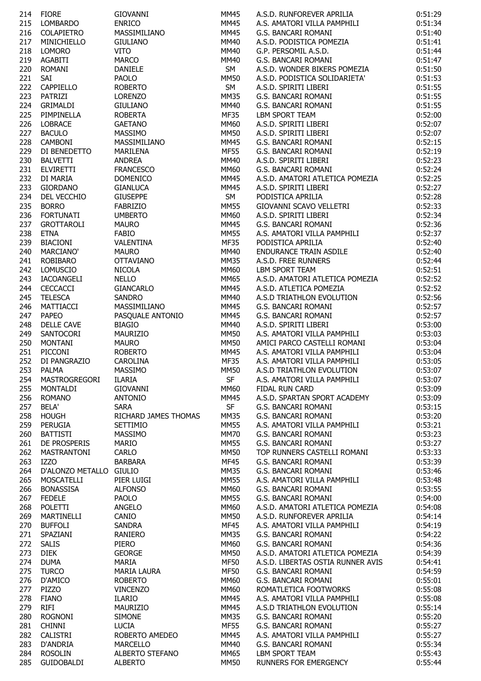| 214 | <b>FIORE</b>            | <b>GIOVANNI</b>      | MM45        | A.S.D. RUNFOREVER APRILIA         | 0:51:29 |
|-----|-------------------------|----------------------|-------------|-----------------------------------|---------|
| 215 | LOMBARDO                | <b>ENRICO</b>        | <b>MM45</b> | A.S. AMATORI VILLA PAMPHILI       | 0:51:34 |
| 216 | COLAPIETRO              | MASSIMILIANO         | <b>MM45</b> | G.S. BANCARI ROMANI               | 0:51:40 |
|     |                         |                      |             |                                   |         |
| 217 | MINICHIELLO             | <b>GIULIANO</b>      | <b>MM40</b> | A.S.D. PODISTICA POMEZIA          | 0:51:41 |
| 218 | <b>LOMORO</b>           | <b>VITO</b>          | MM40        | G.P. PERSOMIL A.S.D.              | 0:51:44 |
| 219 | AGABITI                 | <b>MARCO</b>         | <b>MM40</b> | G.S. BANCARI ROMANI               | 0:51:47 |
| 220 | <b>ROMANI</b>           | DANIELE              | SM          | A.S.D. WONDER BIKERS POMEZIA      | 0:51:50 |
| 221 | SAI                     | <b>PAOLO</b>         | <b>MM50</b> | A.S.D. PODISTICA SOLIDARIETA'     | 0:51:53 |
| 222 | CAPPIELLO               | <b>ROBERTO</b>       | SM          | A.S.D. SPIRITI LIBERI             | 0:51:55 |
|     |                         |                      |             |                                   |         |
| 223 | PATRIZI                 | <b>LORENZO</b>       | <b>MM35</b> | G.S. BANCARI ROMANI               | 0:51:55 |
| 224 | GRIMALDI                | <b>GIULIANO</b>      | <b>MM40</b> | G.S. BANCARI ROMANI               | 0:51:55 |
| 225 | PIMPINELLA              | <b>ROBERTA</b>       | <b>MF35</b> | <b>LBM SPORT TEAM</b>             | 0:52:00 |
| 226 | <b>LOBRACE</b>          | <b>GAETANO</b>       | <b>MM60</b> | A.S.D. SPIRITI LIBERI             | 0:52:07 |
| 227 | <b>BACULO</b>           | <b>MASSIMO</b>       | <b>MM50</b> | A.S.D. SPIRITI LIBERI             | 0:52:07 |
|     |                         |                      |             |                                   |         |
| 228 | <b>CAMBONI</b>          | MASSIMILIANO         | <b>MM45</b> | G.S. BANCARI ROMANI               | 0:52:15 |
| 229 | DI BENEDETTO            | MARILENA             | <b>MF55</b> | G.S. BANCARI ROMANI               | 0:52:19 |
| 230 | <b>BALVETTI</b>         | <b>ANDREA</b>        | <b>MM40</b> | A.S.D. SPIRITI LIBERI             | 0:52:23 |
| 231 | <b>ELVIRETTI</b>        | <b>FRANCESCO</b>     | <b>MM60</b> | G.S. BANCARI ROMANI               | 0:52:24 |
| 232 | DI MARIA                | <b>DOMENICO</b>      | MM45        | A.S.D. AMATORI ATLETICA POMEZIA   | 0:52:25 |
| 233 | <b>GIORDANO</b>         | <b>GIANLUCA</b>      | <b>MM45</b> | A.S.D. SPIRITI LIBERI             | 0:52:27 |
|     |                         |                      |             |                                   |         |
| 234 | DEL VECCHIO             | <b>GIUSEPPE</b>      | SM          | PODISTICA APRILIA                 | 0:52:28 |
| 235 | <b>BORRO</b>            | <b>FABRIZIO</b>      | <b>MM55</b> | GIOVANNI SCAVO VELLETRI           | 0:52:33 |
| 236 | <b>FORTUNATI</b>        | <b>UMBERTO</b>       | <b>MM60</b> | A.S.D. SPIRITI LIBERI             | 0:52:34 |
| 237 | <b>GROTTAROLI</b>       | <b>MAURO</b>         | <b>MM45</b> | G.S. BANCARI ROMANI               | 0:52:36 |
| 238 | <b>ETNA</b>             | <b>FABIO</b>         | <b>MM55</b> | A.S. AMATORI VILLA PAMPHILI       | 0:52:37 |
|     |                         |                      | <b>MF35</b> |                                   |         |
| 239 | BIACIONI                | VALENTINA            |             | PODISTICA APRILIA                 | 0:52:40 |
| 240 | MARCIANO'               | <b>MAURO</b>         | <b>MM40</b> | ENDURANCE TRAIN ASDILE            | 0:52:40 |
| 241 | ROBIBARO                | <b>OTTAVIANO</b>     | <b>MM35</b> | A.S.D. FREE RUNNERS               | 0:52:44 |
| 242 | <b>LOMUSCIO</b>         | <b>NICOLA</b>        | <b>MM60</b> | LBM SPORT TEAM                    | 0:52:51 |
| 243 | IACOANGELI              | <b>NELLO</b>         | MM65        | A.S.D. AMATORI ATLETICA POMEZIA   | 0:52:52 |
| 244 | <b>CECCACCI</b>         | <b>GIANCARLO</b>     | <b>MM45</b> | A.S.D. ATLETICA POMEZIA           | 0:52:52 |
|     |                         |                      |             |                                   |         |
| 245 | <b>TELESCA</b>          | <b>SANDRO</b>        | <b>MM40</b> | A.S.D TRIATHLON EVOLUTION         | 0:52:56 |
| 246 | MATTIACCI               | MASSIMILIANO         | MM45        | G.S. BANCARI ROMANI               | 0:52:57 |
| 247 | <b>PAPEO</b>            | PASQUALE ANTONIO     | <b>MM45</b> | G.S. BANCARI ROMANI               | 0:52:57 |
| 248 | <b>DELLE CAVE</b>       | <b>BIAGIO</b>        | <b>MM40</b> | A.S.D. SPIRITI LIBERI             | 0:53:00 |
| 249 | SANTOCORI               | MAURIZIO             | <b>MM50</b> | A.S. AMATORI VILLA PAMPHILI       | 0:53:03 |
|     | MONTANI                 | <b>MAURO</b>         | <b>MM50</b> | AMICI PARCO CASTELLI ROMANI       | 0:53:04 |
| 250 |                         |                      |             |                                   |         |
| 251 | PICCONI                 | <b>ROBERTO</b>       | <b>MM45</b> | A.S. AMATORI VILLA PAMPHILI       | 0:53:04 |
| 252 | DI PANGRAZIO            | <b>CAROLINA</b>      | <b>MF35</b> | A.S. AMATORI VILLA PAMPHILI       | 0:53:05 |
| 253 | PALMA                   | MASSIMO              | <b>MM50</b> | A.S.D TRIATHLON EVOLUTION         | 0:53:07 |
| 254 | <b>MASTROGREGORI</b>    | <b>ILARIA</b>        | SF          | A.S. AMATORI VILLA PAMPHILI       | 0:53:07 |
| 255 | MONTALDI                | GIOVANNI             | <b>MM60</b> | FIDAL RUN CARD                    | 0:53:09 |
|     |                         | <b>ANTONIO</b>       |             |                                   |         |
| 256 | <b>ROMANO</b>           |                      | MM45        | A.S.D. SPARTAN SPORT ACADEMY      | 0:53:09 |
| 257 | <b>BELA'</b>            | <b>SARA</b>          | <b>SF</b>   | G.S. BANCARI ROMANI               | 0:53:15 |
| 258 | <b>HOUGH</b>            | RICHARD JAMES THOMAS | <b>MM35</b> | G.S. BANCARI ROMANI               | 0:53:20 |
| 259 | PERUGIA                 | SETTIMIO             | MM55        | A.S. AMATORI VILLA PAMPHILI       | 0:53:21 |
| 260 | <b>BATTISTI</b>         | <b>MASSIMO</b>       | <b>MM70</b> | G.S. BANCARI ROMANI               | 0:53:23 |
| 261 | DE PROSPERIS            | <b>MARIO</b>         | <b>MM55</b> | G.S. BANCARI ROMANI               | 0:53:27 |
|     |                         |                      |             |                                   |         |
| 262 | MASTRANTONI             | <b>CARLO</b>         | MM50        | TOP RUNNERS CASTELLI ROMANI       | 0:53:33 |
| 263 | <b>IZZO</b>             | BARBARA              | <b>MF45</b> | G.S. BANCARI ROMANI               | 0:53:39 |
| 264 | D'ALONZO METALLO GIULIO |                      | <b>MM35</b> | G.S. BANCARI ROMANI               | 0:53:46 |
| 265 | MOSCATELLI              | PIER LUIGI           | MM55        | A.S. AMATORI VILLA PAMPHILI       | 0:53:48 |
| 266 | <b>BONASSISA</b>        | <b>ALFONSO</b>       | MM60        | G.S. BANCARI ROMANI               | 0:53:55 |
|     |                         |                      |             |                                   |         |
| 267 | <b>FEDELE</b>           | <b>PAOLO</b>         | <b>MM55</b> | G.S. BANCARI ROMANI               | 0:54:00 |
| 268 | POLETTI                 | ANGELO               | MM60        | A.S.D. AMATORI ATLETICA POMEZIA   | 0:54:08 |
| 269 | MARTINELLI              | CANIO                | MM50        | A.S.D. RUNFOREVER APRILIA         | 0:54:14 |
| 270 | <b>BUFFOLI</b>          | SANDRA               | MF45        | A.S. AMATORI VILLA PAMPHILI       | 0:54:19 |
| 271 | SPAZIANI                | RANIERO              | <b>MM35</b> | G.S. BANCARI ROMANI               | 0:54:22 |
|     |                         |                      |             |                                   |         |
| 272 | <b>SALIS</b>            | PIERO                | <b>MM60</b> | G.S. BANCARI ROMANI               | 0:54:36 |
| 273 | <b>DIEK</b>             | <b>GEORGE</b>        | <b>MM50</b> | A.S.D. AMATORI ATLETICA POMEZIA   | 0:54:39 |
| 274 | <b>DUMA</b>             | <b>MARIA</b>         | <b>MF50</b> | A.S.D. LIBERTAS OSTIA RUNNER AVIS | 0:54:41 |
| 275 | <b>TURCO</b>            | <b>MARIA LAURA</b>   | <b>MF50</b> | G.S. BANCARI ROMANI               | 0:54:59 |
| 276 | D'AMICO                 | <b>ROBERTO</b>       | <b>MM60</b> | G.S. BANCARI ROMANI               | 0:55:01 |
| 277 | <b>PIZZO</b>            |                      |             | ROMATLETICA FOOTWORKS             | 0:55:08 |
|     |                         | <b>VINCENZO</b>      | MM60        |                                   |         |
| 278 | <b>FIANO</b>            | <b>ILARIO</b>        | MM45        | A.S. AMATORI VILLA PAMPHILI       | 0:55:08 |
| 279 | <b>RIFI</b>             | MAURIZIO             | MM45        | A.S.D TRIATHLON EVOLUTION         | 0:55:14 |
| 280 | <b>ROGNONI</b>          | <b>SIMONE</b>        | MM35        | G.S. BANCARI ROMANI               | 0:55:20 |
| 281 | <b>CHINNI</b>           | <b>LUCIA</b>         | <b>MF55</b> | G.S. BANCARI ROMANI               | 0:55:27 |
| 282 | <b>CALISTRI</b>         |                      |             | A.S. AMATORI VILLA PAMPHILI       | 0:55:27 |
|     |                         | ROBERTO AMEDEO       | MM45        |                                   |         |
| 283 | D'ANDRIA                | MARCELLO             | <b>MM40</b> | G.S. BANCARI ROMANI               | 0:55:34 |
| 284 | <b>ROSOLIN</b>          | ALBERTO STEFANO      | MM65        | LBM SPORT TEAM                    | 0:55:43 |
| 285 | GUIDOBALDI              | <b>ALBERTO</b>       | <b>MM50</b> | RUNNERS FOR EMERGENCY             | 0:55:44 |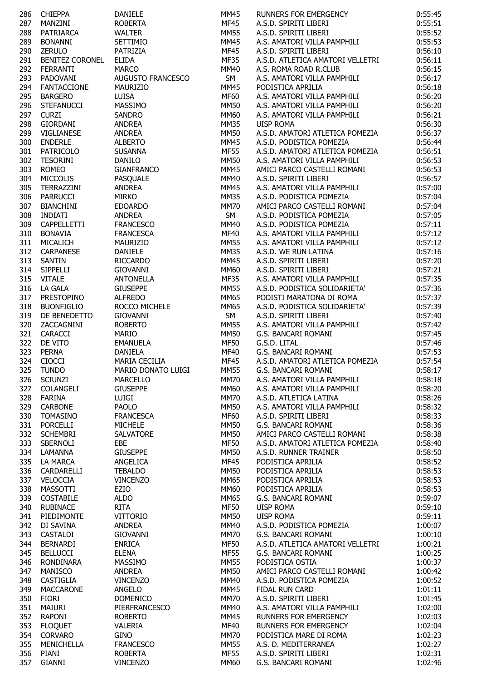| 286 | <b>CHIEPPA</b>         | <b>DANIELE</b>     | MM45        | RUNNERS FOR EMERGENCY            | 0:55:45 |
|-----|------------------------|--------------------|-------------|----------------------------------|---------|
| 287 | MANZINI                | <b>ROBERTA</b>     | MF45        | A.S.D. SPIRITI LIBERI            | 0:55:51 |
| 288 | PATRIARCA              | <b>WALTER</b>      | <b>MM55</b> | A.S.D. SPIRITI LIBERI            | 0:55:52 |
| 289 | <b>BONANNI</b>         | SETTIMIO           | MM45        | A.S. AMATORI VILLA PAMPHILI      | 0:55:53 |
| 290 | ZERULO                 | PATRIZIA           | <b>MF45</b> | A.S.D. SPIRITI LIBERI            | 0:56:10 |
| 291 | <b>BENITEZ CORONEL</b> | <b>ELIDA</b>       | <b>MF35</b> | A.S.D. ATLETICA AMATORI VELLETRI | 0:56:11 |
| 292 | <b>FERRANTI</b>        | <b>MARCO</b>       | <b>MM40</b> | A.S. ROMA ROAD R.CLUB            |         |
|     |                        |                    |             |                                  | 0:56:15 |
| 293 | PADOVANI               | AUGUSTO FRANCESCO  | SM          | A.S. AMATORI VILLA PAMPHILI      | 0:56:17 |
| 294 | <b>FANTACCIONE</b>     | <b>MAURIZIO</b>    | <b>MM45</b> | PODISTICA APRILIA                | 0:56:18 |
| 295 | <b>BARGERO</b>         | <b>LUISA</b>       | <b>MF60</b> | A.S. AMATORI VILLA PAMPHILI      | 0:56:20 |
| 296 | <b>STEFANUCCI</b>      | MASSIMO            | <b>MM50</b> | A.S. AMATORI VILLA PAMPHILI      | 0:56:20 |
| 297 | <b>CURZI</b>           | <b>SANDRO</b>      | MM60        | A.S. AMATORI VILLA PAMPHILI      | 0:56:21 |
| 298 | <b>GIORDANI</b>        | ANDREA             | <b>MM35</b> | <b>UISP ROMA</b>                 | 0:56:30 |
| 299 | VIGLIANESE             | ANDREA             | MM50        | A.S.D. AMATORI ATLETICA POMEZIA  | 0:56:37 |
| 300 | <b>ENDERLE</b>         | <b>ALBERTO</b>     | <b>MM45</b> | A.S.D. PODISTICA POMEZIA         | 0:56:44 |
| 301 | PATRICOLO              | <b>SUSANNA</b>     | <b>MF55</b> | A.S.D. AMATORI ATLETICA POMEZIA  | 0:56:51 |
| 302 | <b>TESORINI</b>        | <b>DANILO</b>      | <b>MM50</b> | A.S. AMATORI VILLA PAMPHILI      | 0:56:53 |
| 303 | <b>ROMEO</b>           | <b>GIANFRANCO</b>  | <b>MM45</b> | AMICI PARCO CASTELLI ROMANI      | 0:56:53 |
|     |                        |                    |             |                                  |         |
| 304 | <b>MICCOLIS</b>        | PASQUALE           | MM40        | A.S.D. SPIRITI LIBERI            | 0:56:57 |
| 305 | TERRAZZINI             | <b>ANDREA</b>      | <b>MM45</b> | A.S. AMATORI VILLA PAMPHILI      | 0:57:00 |
| 306 | <b>PARRUCCI</b>        | <b>MIRKO</b>       | MM35        | A.S.D. PODISTICA POMEZIA         | 0:57:04 |
| 307 | BIANCHINI              | <b>EDOARDO</b>     | <b>MM70</b> | AMICI PARCO CASTELLI ROMANI      | 0:57:04 |
| 308 | <b>INDIATI</b>         | <b>ANDREA</b>      | SM          | A.S.D. PODISTICA POMEZIA         | 0:57:05 |
| 309 | CAPPELLETTI            | <b>FRANCESCO</b>   | MM40        | A.S.D. PODISTICA POMEZIA         | 0:57:11 |
| 310 | <b>BONAVIA</b>         | <b>FRANCESCA</b>   | <b>MF40</b> | A.S. AMATORI VILLA PAMPHILI      | 0:57:12 |
| 311 | MICALICH               | MAURIZIO           | <b>MM55</b> | A.S. AMATORI VILLA PAMPHILI      | 0:57:12 |
| 312 | <b>CARPANESE</b>       | <b>DANIELE</b>     | <b>MM35</b> | A.S.D. WE RUN LATINA             | 0:57:16 |
| 313 | SANTIN                 | <b>RICCARDO</b>    | <b>MM45</b> | A.S.D. SPIRITI LIBERI            | 0:57:20 |
| 314 | <b>SIPPELLI</b>        | <b>GIOVANNI</b>    | MM60        | A.S.D. SPIRITI LIBERI            | 0:57:21 |
|     |                        |                    |             |                                  |         |
| 315 | <b>VITALE</b>          | ANTONELLA          | MF35        | A.S. AMATORI VILLA PAMPHILI      | 0:57:35 |
| 316 | LA GALA                | <b>GIUSEPPE</b>    | <b>MM55</b> | A.S.D. PODISTICA SOLIDARIETA'    | 0:57:36 |
| 317 | <b>PRESTOPINO</b>      | <b>ALFREDO</b>     | <b>MM65</b> | PODISTI MARATONA DI ROMA         | 0:57:37 |
| 318 | <b>BUONFIGLIO</b>      | ROCCO MICHELE      | <b>MM65</b> | A.S.D. PODISTICA SOLIDARIETA'    | 0:57:39 |
| 319 | DE BENEDETTO           | <b>GIOVANNI</b>    | SM          | A.S.D. SPIRITI LIBERI            | 0:57:40 |
| 320 | ZACCAGNINI             | <b>ROBERTO</b>     | <b>MM55</b> | A.S. AMATORI VILLA PAMPHILI      | 0:57:42 |
| 321 | <b>CARACCI</b>         | <b>MARIO</b>       | <b>MM50</b> | G.S. BANCARI ROMANI              | 0:57:45 |
| 322 | DE VITO                | <b>EMANUELA</b>    | <b>MF50</b> | G.S.D. LITAL                     | 0:57:46 |
| 323 | <b>PERNA</b>           | DANIELA            | MF40        | G.S. BANCARI ROMANI              | 0:57:53 |
| 324 | <b>CIOCCI</b>          | MARIA CECILIA      | <b>MF45</b> | A.S.D. AMATORI ATLETICA POMEZIA  | 0:57:54 |
| 325 | <b>TUNDO</b>           | MARIO DONATO LUIGI | <b>MM55</b> | G.S. BANCARI ROMANI              | 0:58:17 |
|     | <b>SCIUNZI</b>         | <b>MARCELLO</b>    | <b>MM70</b> | A.S. AMATORI VILLA PAMPHILI      |         |
| 326 |                        |                    |             |                                  | 0:58:18 |
| 327 | COLANGELI              | <b>GIUSEPPE</b>    | <b>MM60</b> | A.S. AMATORI VILLA PAMPHILI      | 0:58:20 |
| 328 | <b>FARINA</b>          | LUIGI              | <b>MM70</b> | A.S.D. ATLETICA LATINA           | 0:58:26 |
| 329 | <b>CARBONE</b>         | PAOLO              | <b>MM50</b> | A.S. AMATORI VILLA PAMPHILI      | 0:58:32 |
| 330 | <b>TOMASINO</b>        | <b>FRANCESCA</b>   | <b>MF60</b> | A.S.D. SPIRITI LIBERI            | 0:58:33 |
| 331 | <b>PORCELLI</b>        | <b>MICHELE</b>     | MM50        | G.S. BANCARI ROMANI              | 0:58:36 |
| 332 | <b>SCHEMBRI</b>        | SALVATORE          | MM50        | AMICI PARCO CASTELLI ROMANI      | 0:58:38 |
| 333 | SBERNOLI               | EBE                | <b>MF50</b> | A.S.D. AMATORI ATLETICA POMEZIA  | 0:58:40 |
| 334 | LAMANNA                | <b>GIUSEPPE</b>    | <b>MM50</b> | A.S.D. RUNNER TRAINER            | 0:58:50 |
| 335 | <b>LA MARCA</b>        | ANGELICA           | <b>MF45</b> | PODISTICA APRILIA                | 0:58:52 |
| 336 | CARDARELLI             | <b>TEBALDO</b>     | <b>MM50</b> | PODISTICA APRILIA                | 0:58:53 |
|     |                        |                    |             |                                  |         |
| 337 | VELOCCIA               | <b>VINCENZO</b>    | MM65        | PODISTICA APRILIA                | 0:58:53 |
| 338 | MASSOTTI               | EZIO               | MM60        | PODISTICA APRILIA                | 0:58:53 |
| 339 | <b>COSTABILE</b>       | <b>ALDO</b>        | MM65        | G.S. BANCARI ROMANI              | 0:59:07 |
| 340 | <b>RUBINACE</b>        | <b>RITA</b>        | <b>MF50</b> | <b>UISP ROMA</b>                 | 0:59:10 |
| 341 | PIEDIMONTE             | <b>VITTORIO</b>    | <b>MM50</b> | <b>UISP ROMA</b>                 | 0:59:11 |
| 342 | DI SAVINA              | <b>ANDREA</b>      | <b>MM40</b> | A.S.D. PODISTICA POMEZIA         | 1:00:07 |
| 343 | CASTALDI               | GIOVANNI           | <b>MM70</b> | G.S. BANCARI ROMANI              | 1:00:10 |
| 344 | <b>BERNARDI</b>        | <b>ENRICA</b>      | <b>MF50</b> | A.S.D. ATLETICA AMATORI VELLETRI | 1:00:21 |
| 345 | <b>BELLUCCI</b>        | <b>ELENA</b>       | <b>MF55</b> | G.S. BANCARI ROMANI              | 1:00:25 |
| 346 | RONDINARA              | MASSIMO            | <b>MM55</b> | PODISTICA OSTIA                  | 1:00:37 |
|     |                        |                    |             |                                  |         |
| 347 | <b>MANISCO</b>         | <b>ANDREA</b>      | <b>MM50</b> | AMICI PARCO CASTELLI ROMANI      | 1:00:42 |
| 348 | CASTIGLIA              | <b>VINCENZO</b>    | MM40        | A.S.D. PODISTICA POMEZIA         | 1:00:52 |
| 349 | <b>MACCARONE</b>       | <b>ANGELO</b>      | MM45        | FIDAL RUN CARD                   | 1:01:11 |
| 350 | <b>FIORI</b>           | <b>DOMENICO</b>    | <b>MM70</b> | A.S.D. SPIRITI LIBERI            | 1:01:45 |
| 351 | MAIURI                 | PIERFRANCESCO      | MM40        | A.S. AMATORI VILLA PAMPHILI      | 1:02:00 |
| 352 | RAPONI                 | <b>ROBERTO</b>     | <b>MM45</b> | RUNNERS FOR EMERGENCY            | 1:02:03 |
| 353 | <b>FLOQUET</b>         | VALERIA            | <b>MF40</b> | RUNNERS FOR EMERGENCY            | 1:02:04 |
| 354 | <b>CORVARO</b>         | <b>GINO</b>        | <b>MM70</b> | PODISTICA MARE DI ROMA           | 1:02:23 |
| 355 | MENICHELLA             | <b>FRANCESCO</b>   | <b>MM55</b> | A.S. D. MEDITERRANEA             | 1:02:27 |
| 356 | PIANI                  | <b>ROBERTA</b>     | MF55        | A.S.D. SPIRITI LIBERI            | 1:02:31 |
| 357 |                        |                    | MM60        | G.S. BANCARI ROMANI              | 1:02:46 |
|     | GIANNI                 | <b>VINCENZO</b>    |             |                                  |         |